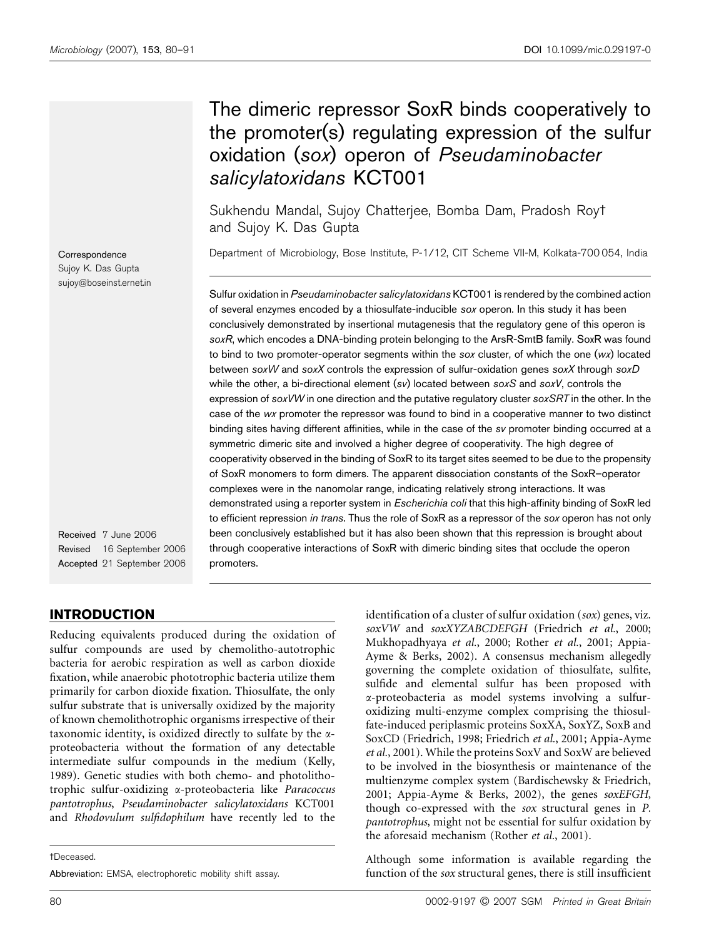# The dimeric repressor SoxR binds cooperatively to the promoter(s) regulating expression of the sulfur oxidation (sox) operon of Pseudaminobacter salicylatoxidans KCT001

Sukhendu Mandal, Sujoy Chatteriee, Bomba Dam, Pradosh Royt and Sujoy K. Das Gupta

Department of Microbiology, Bose Institute, P-1/12, CIT Scheme VII-M, Kolkata-700 054, India

Sulfur oxidation in Pseudaminobacter salicylatoxidans KCT001 is rendered by the combined action of several enzymes encoded by a thiosulfate-inducible sox operon. In this study it has been conclusively demonstrated by insertional mutagenesis that the regulatory gene of this operon is  $soxR$ , which encodes a DNA-binding protein belonging to the ArsR-SmtB family. SoxR was found to bind to two promoter-operator segments within the sox cluster, of which the one (wx) located between soxW and soxX controls the expression of sulfur-oxidation genes soxX through soxD while the other, a bi-directional element (sv) located between soxS and soxV, controls the expression of soxVW in one direction and the putative regulatory cluster soxSRT in the other. In the case of the wx promoter the repressor was found to bind in a cooperative manner to two distinct binding sites having different affinities, while in the case of the sv promoter binding occurred at a symmetric dimeric site and involved a higher degree of cooperativity. The high degree of cooperativity observed in the binding of SoxR to its target sites seemed to be due to the propensity of SoxR monomers to form dimers. The apparent dissociation constants of the SoxR–operator complexes were in the nanomolar range, indicating relatively strong interactions. It was demonstrated using a reporter system in *Escherichia coli* that this high-affinity binding of SoxR led to efficient repression in trans. Thus the role of SoxR as a repressor of the sox operon has not only been conclusively established but it has also been shown that this repression is brought about through cooperative interactions of SoxR with dimeric binding sites that occlude the operon promoters.

Correspondence Sujoy K. Das Gupta sujoy@boseinst.ernet.in

Received 7 June 2006 Revised 16 September 2006 Accepted 21 September 2006

## INTRODUCTION

Reducing equivalents produced during the oxidation of sulfur compounds are used by chemolitho-autotrophic bacteria for aerobic respiration as well as carbon dioxide fixation, while anaerobic phototrophic bacteria utilize them primarily for carbon dioxide fixation. Thiosulfate, the only sulfur substrate that is universally oxidized by the majority of known chemolithotrophic organisms irrespective of their taxonomic identity, is oxidized directly to sulfate by the aproteobacteria without the formation of any detectable intermediate sulfur compounds in the medium (Kelly, 1989). Genetic studies with both chemo- and photolithotrophic sulfur-oxidizing a-proteobacteria like *Paracoccus pantotrophus*, *Pseudaminobacter salicylatoxidans* KCT001 and *Rhodovulum sulfidophilum* have recently led to the

tDeceased.

Abbreviation: EMSA, electrophoretic mobility shift assay.

identification of a cluster of sulfur oxidation (*sox*) genes, viz. *soxVW* and *soxXYZABCDEFGH* (Friedrich *et al.*, 2000; Mukhopadhyaya *et al.*, 2000; Rother *et al.*, 2001; Appia-Ayme & Berks, 2002). A consensus mechanism allegedly governing the complete oxidation of thiosulfate, sulfite, sulfide and elemental sulfur has been proposed with a-proteobacteria as model systems involving a sulfuroxidizing multi-enzyme complex comprising the thiosulfate-induced periplasmic proteins SoxXA, SoxYZ, SoxB and SoxCD (Friedrich, 1998; Friedrich *et al.*, 2001; Appia-Ayme *et al.*, 2001). While the proteins SoxV and SoxW are believed to be involved in the biosynthesis or maintenance of the multienzyme complex system (Bardischewsky & Friedrich, 2001; Appia-Ayme & Berks, 2002), the genes *soxEFGH*, though co-expressed with the *sox* structural genes in *P. pantotrophus*, might not be essential for sulfur oxidation by the aforesaid mechanism (Rother *et al.*, 2001).

Although some information is available regarding the function of the *sox* structural genes, there is still insufficient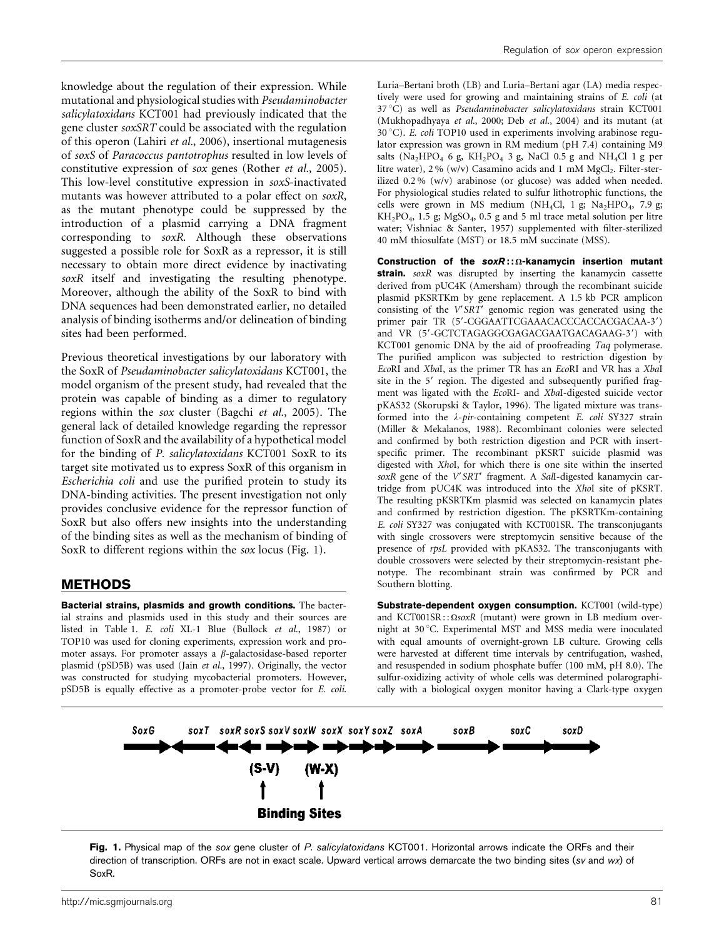knowledge about the regulation of their expression. While mutational and physiological studies with *Pseudaminobacter salicylatoxidans* KCT001 had previously indicated that the gene cluster *soxSRT* could be associated with the regulation of this operon (Lahiri *et al.*, 2006), insertional mutagenesis of *soxS* of *Paracoccus pantotrophus* resulted in low levels of constitutive expression of *sox* genes (Rother *et al.*, 2005). This low-level constitutive expression in *soxS*-inactivated mutants was however attributed to a polar effect on *soxR*, as the mutant phenotype could be suppressed by the introduction of a plasmid carrying a DNA fragment corresponding to *soxR*. Although these observations suggested a possible role for SoxR as a repressor, it is still necessary to obtain more direct evidence by inactivating *soxR* itself and investigating the resulting phenotype. Moreover, although the ability of the SoxR to bind with DNA sequences had been demonstrated earlier, no detailed analysis of binding isotherms and/or delineation of binding sites had been performed.

Previous theoretical investigations by our laboratory with the SoxR of *Pseudaminobacter salicylatoxidans* KCT001, the model organism of the present study, had revealed that the protein was capable of binding as a dimer to regulatory regions within the *sox* cluster (Bagchi *et al.*, 2005). The general lack of detailed knowledge regarding the repressor function of SoxR and the availability of a hypothetical model for the binding of *P. salicylatoxidans* KCT001 SoxR to its target site motivated us to express SoxR of this organism in *Escherichia coli* and use the purified protein to study its DNA-binding activities. The present investigation not only provides conclusive evidence for the repressor function of SoxR but also offers new insights into the understanding of the binding sites as well as the mechanism of binding of SoxR to different regions within the *sox* locus (Fig. 1).

### METHODS

Bacterial strains, plasmids and growth conditions. The bacterial strains and plasmids used in this study and their sources are listed in Table 1. *E. coli* XL-1 Blue (Bullock *et al.*, 1987) or TOP10 was used for cloning experiments, expression work and promoter assays. For promoter assays a  $\beta$ -galactosidase-based reporter plasmid (pSD5B) was used (Jain *et al.*, 1997). Originally, the vector was constructed for studying mycobacterial promoters. However, pSD5B is equally effective as a promoter-probe vector for *E. coli*. Luria–Bertani broth (LB) and Luria–Bertani agar (LA) media respectively were used for growing and maintaining strains of *E. coli* (at 37 °C) as well as *Pseudaminobacter salicylatoxidans* strain KCT001 (Mukhopadhyaya *et al.*, 2000; Deb *et al.*, 2004) and its mutant (at 30 °C). *E. coli* TOP10 used in experiments involving arabinose regulator expression was grown in RM medium (pH 7.4) containing M9 salts (Na<sub>2</sub>HPO<sub>4</sub> 6 g, KH<sub>2</sub>PO<sub>4</sub> 3 g, NaCl 0.5 g and NH<sub>4</sub>Cl 1 g per litre water), 2 % (w/v) Casamino acids and 1 mM  $MgCl<sub>2</sub>$ . Filter-sterilized 0.2 % (w/v) arabinose (or glucose) was added when needed. For physiological studies related to sulfur lithotrophic functions, the cells were grown in MS medium (NH<sub>4</sub>Cl, 1 g; Na<sub>2</sub>HPO<sub>4</sub>, 7.9 g;  $KH_2PO_4$ , 1.5 g; MgSO<sub>4</sub>, 0.5 g and 5 ml trace metal solution per litre water; Vishniac & Santer, 1957) supplemented with filter-sterilized 40 mM thiosulfate (MST) or 18.5 mM succinate (MSS).

Construction of the sox $R$ :: $\Omega$ -kanamycin insertion mutant strain. *soxR* was disrupted by inserting the kanamycin cassette derived from pUC4K (Amersham) through the recombinant suicide plasmid pKSRTKm by gene replacement. A 1.5 kb PCR amplicon consisting of the *V'SRT'* genomic region was generated using the primer pair TR (5'-CGGAATTCGAAACACCCACCACGACAA-3') and VR (5'-GCTCTAGAGGCGAGACGAATGACAGAAG-3') with KCT001 genomic DNA by the aid of proofreading *Taq* polymerase. The purified amplicon was subjected to restriction digestion by *Eco*RI and *Xba*I, as the primer TR has an *Eco*RI and VR has a *Xba*I site in the 5' region. The digested and subsequently purified fragment was ligated with the *Eco*RI- and *Xba*I-digested suicide vector pKAS32 (Skorupski & Taylor, 1996). The ligated mixture was transformed into the l-*pir*-containing competent *E. coli* SY327 strain (Miller & Mekalanos, 1988). Recombinant colonies were selected and confirmed by both restriction digestion and PCR with insertspecific primer. The recombinant pKSRT suicide plasmid was digested with *Xho*I, for which there is one site within the inserted soxR gene of the V'SRT' fragment. A SalI-digested kanamycin cartridge from pUC4K was introduced into the *Xho*I site of pKSRT. The resulting pKSRTKm plasmid was selected on kanamycin plates and confirmed by restriction digestion. The pKSRTKm-containing *E. coli* SY327 was conjugated with KCT001SR. The transconjugants with single crossovers were streptomycin sensitive because of the presence of *rpsL* provided with pKAS32. The transconjugants with double crossovers were selected by their streptomycin-resistant phenotype. The recombinant strain was confirmed by PCR and Southern blotting.

Substrate-dependent oxygen consumption. KCT001 (wild-type) and KCT001SR:: $\Omega$ *soxR* (mutant) were grown in LB medium overnight at 30 °C. Experimental MST and MSS media were inoculated with equal amounts of overnight-grown LB culture. Growing cells were harvested at different time intervals by centrifugation, washed, and resuspended in sodium phosphate buffer (100 mM, pH 8.0). The sulfur-oxidizing activity of whole cells was determined polarographically with a biological oxygen monitor having a Clark-type oxygen



Fig. 1. Physical map of the sox gene cluster of P. salicylatoxidans KCT001. Horizontal arrows indicate the ORFs and their direction of transcription. ORFs are not in exact scale. Upward vertical arrows demarcate the two binding sites (sv and wx) of SoxR.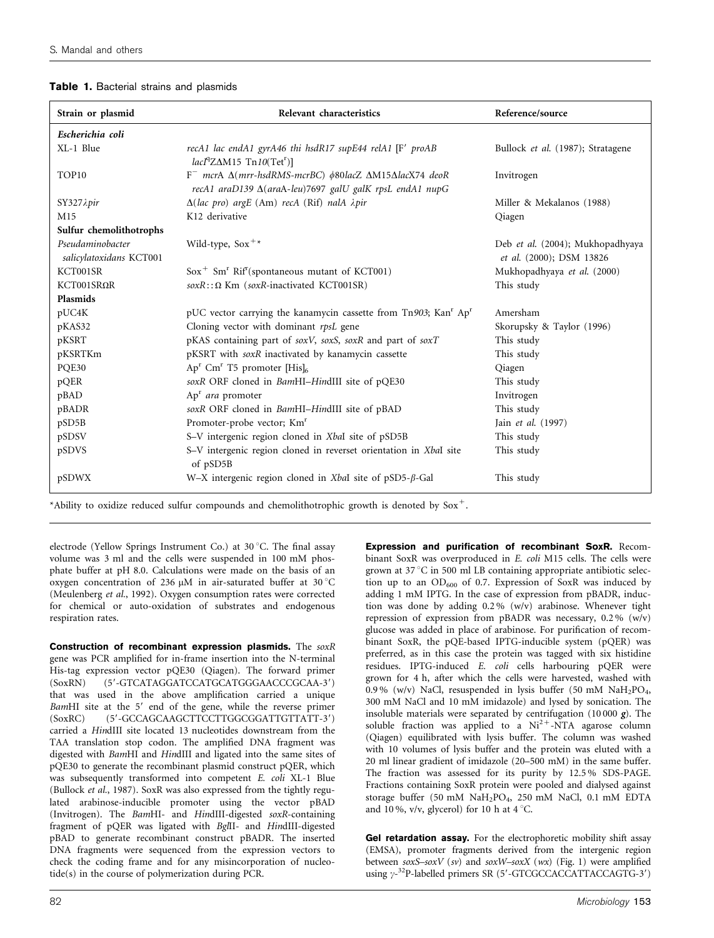| Strain or plasmid                           | Relevant characteristics                                                                                                    | Reference/source                                             |  |
|---------------------------------------------|-----------------------------------------------------------------------------------------------------------------------------|--------------------------------------------------------------|--|
| Escherichia coli                            |                                                                                                                             |                                                              |  |
| XL-1 Blue                                   | recA1 lac endA1 gyrA46 thi hsdR17 supE44 relA1 [F' proAB<br>$lacI^{q}Z\Delta M15$ Tn $10(Tet^{r})$ ]                        | Bullock et al. (1987); Stratagene                            |  |
| TOP <sub>10</sub>                           | F <sup>-</sup> mcrA Δ(mrr-hsdRMS-mcrBC) φ80lacZ ΔM15ΔlacX74 deoR<br>recA1 araD139 Δ(araA-leu)7697 galU galK rpsL endA1 nupG | Invitrogen                                                   |  |
| SY3272pir                                   | $\Delta (lac \text{ pro})$ argE (Am) recA (Rif) nalA $\lambda$ pir                                                          | Miller & Mekalanos (1988)                                    |  |
| M <sub>15</sub>                             | K12 derivative                                                                                                              | Qiagen                                                       |  |
| Sulfur chemolithotrophs                     |                                                                                                                             |                                                              |  |
| Pseudaminobacter<br>salicylatoxidans KCT001 | Wild-type, Sox <sup>+*</sup>                                                                                                | Deb et al. (2004); Mukhopadhyaya<br>et al. (2000); DSM 13826 |  |
| KCT001SR                                    | $Sox^+$ Sm <sup>r</sup> Rif <sup>e</sup> (spontaneous mutant of KCT001)                                                     | Mukhopadhyaya et al. (2000)                                  |  |
| $KCT001$ SRQR                               | soxR:: Ω Km (soxR-inactivated KCT001SR)                                                                                     | This study                                                   |  |
| Plasmids                                    |                                                                                                                             |                                                              |  |
| pUC4K                                       | pUC vector carrying the kanamycin cassette from Tn903; Kan <sup>r</sup> Ap <sup>r</sup>                                     | Amersham                                                     |  |
| pKAS32                                      | Cloning vector with dominant rpsL gene                                                                                      | Skorupsky & Taylor (1996)                                    |  |
| pKSRT                                       | pKAS containing part of soxV, soxS, soxR and part of soxT                                                                   | This study                                                   |  |
| pKSRTKm                                     | pKSRT with soxR inactivated by kanamycin cassette                                                                           | This study                                                   |  |
| PQE30                                       | $Apr$ Cm <sup>r</sup> T5 promoter [His] <sub>6</sub>                                                                        | Qiagen                                                       |  |
| pQER                                        | soxR ORF cloned in BamHI-HindIII site of pQE30                                                                              | This study                                                   |  |
| pBAD                                        | $Apr$ ara promoter                                                                                                          | Invitrogen                                                   |  |
| pBADR                                       | soxR ORF cloned in BamHI-HindIII site of pBAD                                                                               | This study                                                   |  |
| pSD5B                                       | Promoter-probe vector; Km <sup>r</sup>                                                                                      | Jain et al. (1997)                                           |  |
| pSDSV                                       | S-V intergenic region cloned in XbaI site of pSD5B                                                                          | This study                                                   |  |
| pSDVS                                       | S-V intergenic region cloned in reverset orientation in XbaI site<br>of pSD5B                                               | This study                                                   |  |
| pSDWX                                       | W-X intergenic region cloned in XbaI site of $pSD5-\beta$ -Gal                                                              | This study                                                   |  |

\*Ability to oxidize reduced sulfur compounds and chemolithotrophic growth is denoted by Sox+.

electrode (Yellow Springs Instrument Co.) at 30 °C. The final assay volume was 3 ml and the cells were suspended in 100 mM phosphate buffer at pH 8.0. Calculations were made on the basis of an oxygen concentration of 236  $\mu$ M in air-saturated buffer at 30 °C (Meulenberg *et al.*, 1992). Oxygen consumption rates were corrected for chemical or auto-oxidation of substrates and endogenous respiration rates.

Construction of recombinant expression plasmids. The *soxR* gene was PCR amplified for in-frame insertion into the N-terminal His-tag expression vector pQE30 (Qiagen). The forward primer (5'-GTCATAGGATCCATGCATGGGAACCCGCAA-3') that was used in the above amplification carried a unique *BamHI* site at the 5' end of the gene, while the reverse primer (SoxRC) (5'-GCCAGCAAGCTTCCTTGGCGGATTGTTATT-3') carried a *Hin*dIII site located 13 nucleotides downstream from the TAA translation stop codon. The amplified DNA fragment was digested with *Bam*HI and *Hin*dIII and ligated into the same sites of pQE30 to generate the recombinant plasmid construct pQER, which was subsequently transformed into competent *E. coli* XL-1 Blue (Bullock *et al.*, 1987). SoxR was also expressed from the tightly regulated arabinose-inducible promoter using the vector pBAD (Invitrogen). The *Bam*HI- and *Hin*dIII-digested *soxR*-containing fragment of pQER was ligated with *Bgl*II- and *Hin*dIII-digested pBAD to generate recombinant construct pBADR. The inserted DNA fragments were sequenced from the expression vectors to check the coding frame and for any misincorporation of nucleotide(s) in the course of polymerization during PCR.

Expression and purification of recombinant SoxR. Recombinant SoxR was overproduced in *E. coli* M15 cells. The cells were grown at 37 °C in 500 ml LB containing appropriate antibiotic selection up to an  $OD_{600}$  of 0.7. Expression of SoxR was induced by adding 1 mM IPTG. In the case of expression from pBADR, induction was done by adding 0.2 % (w/v) arabinose. Whenever tight repression of expression from pBADR was necessary, 0.2 % (w/v) glucose was added in place of arabinose. For purification of recombinant SoxR, the pQE-based IPTG-inducible system (pQER) was preferred, as in this case the protein was tagged with six histidine residues. IPTG-induced *E. coli* cells harbouring pQER were grown for 4 h, after which the cells were harvested, washed with 0.9% (w/v) NaCl, resuspended in lysis buffer (50 mM  $\text{NaH}_2\text{PO}_4$ , 300 mM NaCl and 10 mM imidazole) and lysed by sonication. The insoluble materials were separated by centrifugation (10 000  $g$ ). The soluble fraction was applied to a  $Ni^{2+}-NTA$  agarose column (Qiagen) equilibrated with lysis buffer. The column was washed with 10 volumes of lysis buffer and the protein was eluted with a 20 ml linear gradient of imidazole (20–500 mM) in the same buffer. The fraction was assessed for its purity by 12.5 % SDS-PAGE. Fractions containing SoxR protein were pooled and dialysed against storage buffer (50 mM NaH2PO<sup>4</sup> , 250 mM NaCl, 0.1 mM EDTA and 10 %, v/v, glycerol) for 10 h at  $4^{\circ}$ C.

Gel retardation assay. For the electrophoretic mobility shift assay (EMSA), promoter fragments derived from the intergenic region between *soxS–soxV* (*sv*) and *soxW–soxX* (*wx*) (Fig. 1) were amplified using  $\gamma$ -<sup>32</sup>P-labelled primers SR (5'-GTCGCCACCATTACCAGTG-3')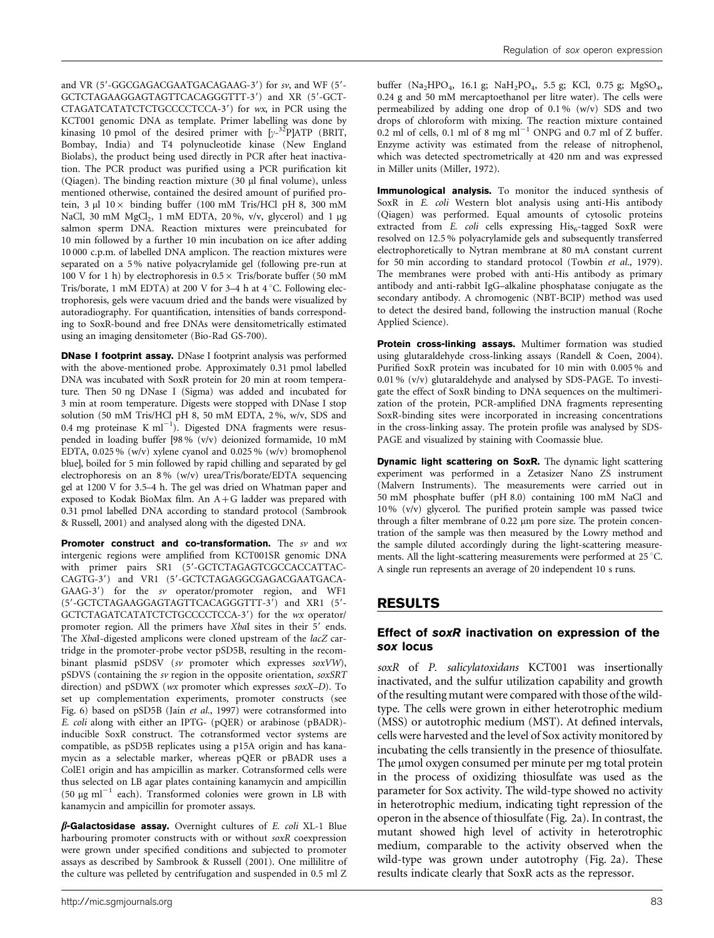and VR (5'-GGCGAGACGAATGACAGAAG-3') for *sv*, and WF (5'-GCTCTAGAAGGAGTAGTTCACAGGGTTT-3') and XR (5'-GCT-CTAGATCATATCTCTGCCCCTCCA-3') for wx, in PCR using the KCT001 genomic DNA as template. Primer labelling was done by kinasing 10 pmol of the desired primer with  $[y^{-32}P]ATP$  (BRIT, Bombay, India) and T4 polynucleotide kinase (New England Biolabs), the product being used directly in PCR after heat inactivation. The PCR product was purified using a PCR purification kit (Qiagen). The binding reaction mixture (30 µl final volume), unless mentioned otherwise, contained the desired amount of purified protein,  $3 \mu$ l  $10 \times$  binding buffer (100 mM Tris/HCl pH 8, 300 mM NaCl, 30 mM MgCl<sub>2</sub>, 1 mM EDTA, 20%, v/v, glycerol) and 1 µg salmon sperm DNA. Reaction mixtures were preincubated for 10 min followed by a further 10 min incubation on ice after adding 10 000 c.p.m. of labelled DNA amplicon. The reaction mixtures were separated on a 5 % native polyacrylamide gel (following pre-run at 100 V for 1 h) by electrophoresis in  $0.5 \times$  Tris/borate buffer (50 mM Tris/borate, 1 mM EDTA) at 200 V for 3–4 h at  $4^{\circ}$ C. Following electrophoresis, gels were vacuum dried and the bands were visualized by autoradiography. For quantification, intensities of bands corresponding to SoxR-bound and free DNAs were densitometrically estimated using an imaging densitometer (Bio-Rad GS-700).

**DNase I footprint assay.** DNase I footprint analysis was performed with the above-mentioned probe. Approximately 0.31 pmol labelled DNA was incubated with SoxR protein for 20 min at room temperature. Then 50 ng DNase I (Sigma) was added and incubated for 3 min at room temperature. Digests were stopped with DNase I stop solution (50 mM Tris/HCl pH 8, 50 mM EDTA, 2 %, w/v, SDS and 0.4 mg proteinase K ml<sup>-1</sup>). Digested DNA fragments were resuspended in loading buffer [98 % (v/v) deionized formamide, 10 mM EDTA, 0.025 % (w/v) xylene cyanol and 0.025 % (w/v) bromophenol blue], boiled for 5 min followed by rapid chilling and separated by gel electrophoresis on an 8 % (w/v) urea/Tris/borate/EDTA sequencing gel at 1200 V for 3.5–4 h. The gel was dried on Whatman paper and exposed to Kodak BioMax film. An  $A + G$  ladder was prepared with 0.31 pmol labelled DNA according to standard protocol (Sambrook & Russell, 2001) and analysed along with the digested DNA.

Promoter construct and co-transformation. The *sv* and *wx* intergenic regions were amplified from KCT001SR genomic DNA with primer pairs SR1 (5'-GCTCTAGAGTCGCCACCATTAC-CAGTG-3') and VR1 (5'-GCTCTAGAGGCGAGACGAATGACA-GAAG-3') for the *sv* operator/promoter region, and WF1 (5'-GCTCTAGAAGGAGTAGTTCACAGGGTTT-3') and XR1 (5'-GCTCTAGATCATATCTCTGCCCCTCCA-3') for the wx operator/ promoter region. All the primers have *XbaI* sites in their 5' ends. The *Xba*I-digested amplicons were cloned upstream of the *lacZ* cartridge in the promoter-probe vector pSD5B, resulting in the recombinant plasmid pSDSV (*sv* promoter which expresses *soxVW*), pSDVS (containing the *sv* region in the opposite orientation, *soxSRT* direction) and pSDWX (*wx* promoter which expresses *soxX–D*). To set up complementation experiments, promoter constructs (see Fig. 6) based on pSD5B (Jain *et al.*, 1997) were cotransformed into *E. coli* along with either an IPTG- (pQER) or arabinose (pBADR) inducible SoxR construct. The cotransformed vector systems are compatible, as pSD5B replicates using a p15A origin and has kanamycin as a selectable marker, whereas pQER or pBADR uses a ColE1 origin and has ampicillin as marker. Cotransformed cells were thus selected on LB agar plates containing kanamycin and ampicillin (50  $\mu$ g ml<sup>-1</sup> each). Transformed colonies were grown in LB with kanamycin and ampicillin for promoter assays.

b-Galactosidase assay. Overnight cultures of *E. coli* XL-1 Blue harbouring promoter constructs with or without *soxR* coexpression were grown under specified conditions and subjected to promoter assays as described by Sambrook & Russell (2001). One millilitre of the culture was pelleted by centrifugation and suspended in 0.5 ml Z

buffer (Na<sub>2</sub>HPO<sub>4</sub>, 16.1 g; NaH<sub>2</sub>PO<sub>4</sub>, 5.5 g; KCl, 0.75 g; MgSO<sub>4</sub>, 0.24 g and 50 mM mercaptoethanol per litre water). The cells were permeabilized by adding one drop of 0.1 % (w/v) SDS and two drops of chloroform with mixing. The reaction mixture contained 0.2 ml of cells, 0.1 ml of 8 mg  $\widetilde{ml}^{-1}$  ONPG and 0.7 ml of Z buffer. Enzyme activity was estimated from the release of nitrophenol, which was detected spectrometrically at 420 nm and was expressed in Miller units (Miller, 1972).

Immunological analysis. To monitor the induced synthesis of SoxR in *E. coli* Western blot analysis using anti-His antibody (Qiagen) was performed. Equal amounts of cytosolic proteins extracted from *E. coli* cells expressing His<sub>6</sub>-tagged SoxR were resolved on 12.5 % polyacrylamide gels and subsequently transferred electrophoretically to Nytran membrane at 80 mA constant current for 50 min according to standard protocol (Towbin *et al.*, 1979). The membranes were probed with anti-His antibody as primary antibody and anti-rabbit IgG–alkaline phosphatase conjugate as the secondary antibody. A chromogenic (NBT-BCIP) method was used to detect the desired band, following the instruction manual (Roche Applied Science).

Protein cross-linking assays. Multimer formation was studied using glutaraldehyde cross-linking assays (Randell & Coen, 2004). Purified SoxR protein was incubated for 10 min with 0.005 % and 0.01 % (v/v) glutaraldehyde and analysed by SDS-PAGE. To investigate the effect of SoxR binding to DNA sequences on the multimerization of the protein, PCR-amplified DNA fragments representing SoxR-binding sites were incorporated in increasing concentrations in the cross-linking assay. The protein profile was analysed by SDS-PAGE and visualized by staining with Coomassie blue.

Dynamic light scattering on SoxR. The dynamic light scattering experiment was performed in a Zetasizer Nano ZS instrument (Malvern Instruments). The measurements were carried out in 50 mM phosphate buffer (pH 8.0) containing 100 mM NaCl and 10 % (v/v) glycerol. The purified protein sample was passed twice through a filter membrane of 0.22  $\mu$ m pore size. The protein concentration of the sample was then measured by the Lowry method and the sample diluted accordingly during the light-scattering measurements. All the light-scattering measurements were performed at  $25^{\circ}$ C. A single run represents an average of 20 independent 10 s runs.

## RESULTS

#### Effect of soxR inactivation on expression of the sox locus

*soxR* of *P. salicylatoxidans* KCT001 was insertionally inactivated, and the sulfur utilization capability and growth of the resulting mutant were compared with those of the wildtype. The cells were grown in either heterotrophic medium (MSS) or autotrophic medium (MST). At defined intervals, cells were harvested and the level of Sox activity monitored by incubating the cells transiently in the presence of thiosulfate. The µmol oxygen consumed per minute per mg total protein in the process of oxidizing thiosulfate was used as the parameter for Sox activity. The wild-type showed no activity in heterotrophic medium, indicating tight repression of the operon in the absence of thiosulfate (Fig. 2a). In contrast, the mutant showed high level of activity in heterotrophic medium, comparable to the activity observed when the wild-type was grown under autotrophy (Fig. 2a). These results indicate clearly that SoxR acts as the repressor.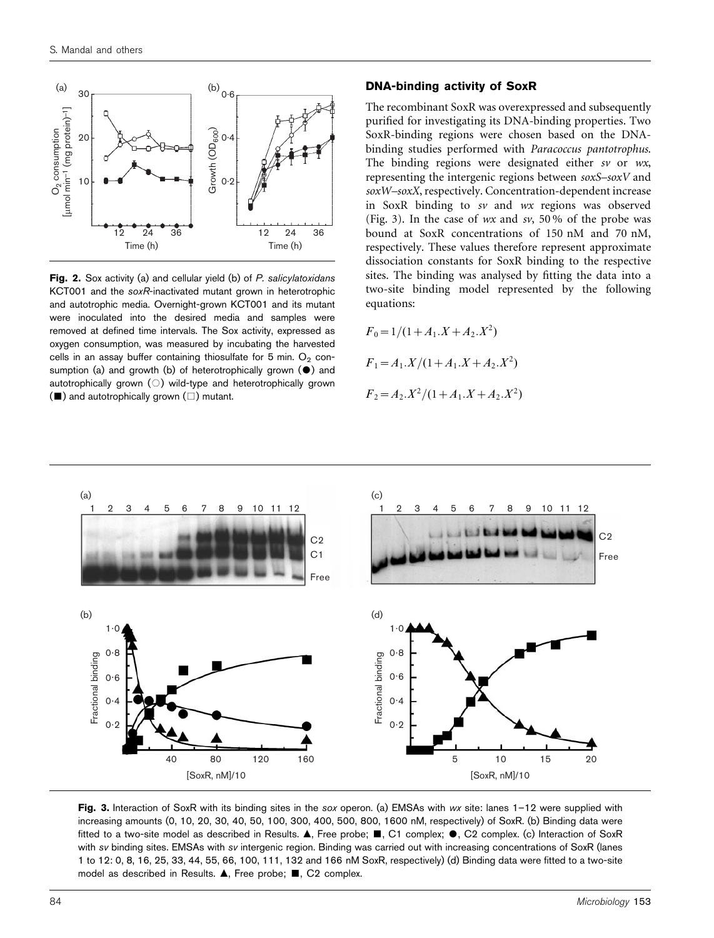

Fig. 2. Sox activity (a) and cellular yield (b) of P. salicylatoxidans KCT001 and the soxR-inactivated mutant grown in heterotrophic and autotrophic media. Overnight-grown KCT001 and its mutant were inoculated into the desired media and samples were removed at defined time intervals. The Sox activity, expressed as oxygen consumption, was measured by incubating the harvested cells in an assay buffer containing thiosulfate for 5 min.  $O<sub>2</sub>$  consumption (a) and growth (b) of heterotrophically grown  $(①)$  and autotrophically grown  $( \circ )$  wild-type and heterotrophically grown  $(\blacksquare)$  and autotrophically grown  $(\square)$  mutant.

#### DNA-binding activity of SoxR

The recombinant SoxR was overexpressed and subsequently purified for investigating its DNA-binding properties. Two SoxR-binding regions were chosen based on the DNAbinding studies performed with *Paracoccus pantotrophus*. The binding regions were designated either *sv* or *wx*, representing the intergenic regions between *soxS–soxV* and *soxW–soxX*, respectively. Concentration-dependent increase in SoxR binding to *sv* and *wx* regions was observed (Fig. 3). In the case of *wx* and *sv*, 50 % of the probe was bound at SoxR concentrations of 150 nM and 70 nM, respectively. These values therefore represent approximate dissociation constants for SoxR binding to the respective sites. The binding was analysed by fitting the data into a two-site binding model represented by the following equations:

$$
F_0 = 1/(1 + A_1.X + A_2.X^2)
$$
  
\n
$$
F_1 = A_1.X/(1 + A_1.X + A_2.X^2)
$$
  
\n
$$
F_2 = A_2.X^2/(1 + A_1.X + A_2.X^2)
$$



Fig. 3. Interaction of SoxR with its binding sites in the sox operon. (a) EMSAs with  $wx$  site: lanes  $1-12$  were supplied with increasing amounts (0, 10, 20, 30, 40, 50, 100, 300, 400, 500, 800, 1600 nM, respectively) of SoxR. (b) Binding data were fitted to a two-site model as described in Results.  $\blacktriangle$ , Free probe;  $\blacktriangleright$ , C1 complex;  $\blacklozenge$ , C2 complex. (c) Interaction of SoxR with sv binding sites. EMSAs with sv intergenic region. Binding was carried out with increasing concentrations of SoxR (lanes 1 to 12: 0, 8, 16, 25, 33, 44, 55, 66, 100, 111, 132 and 166 nM SoxR, respectively) (d) Binding data were fitted to a two-site model as described in Results. A, Free probe;  $\blacksquare$ , C2 complex.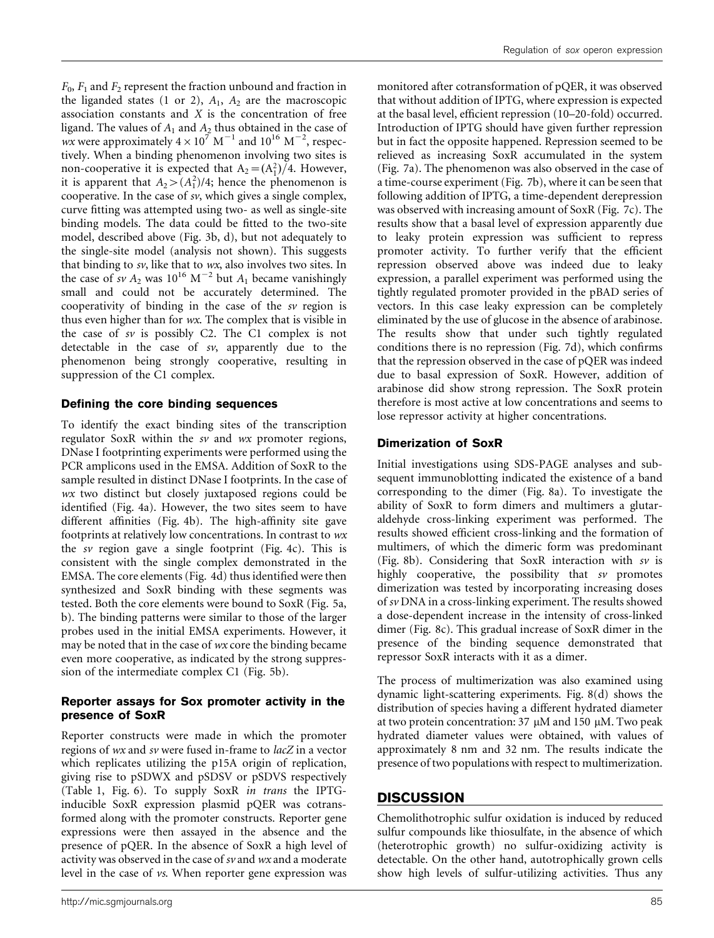$F_0$ ,  $F_1$  and  $F_2$  represent the fraction unbound and fraction in the liganded states  $(1 \text{ or } 2)$ ,  $A_1$ ,  $A_2$  are the macroscopic association constants and *X* is the concentration of free ligand. The values of  $A_1$  and  $A_2$  thus obtained in the case of wx were approximately  $4 \times 10^7$  M<sup>-1</sup> and  $10^{16}$  M<sup>-2</sup>, respectively. When a binding phenomenon involving two sites is non-cooperative it is expected that  $A_2 = (A_1^2)/4$ . However, it is apparent that  $A_2 > (A_1^2)/4$ ; hence the phenomenon is cooperative. In the case of *sv*, which gives a single complex, curve fitting was attempted using two- as well as single-site binding models. The data could be fitted to the two-site model, described above (Fig. 3b, d), but not adequately to the single-site model (analysis not shown). This suggests that binding to *sv*, like that to *wx*, also involves two sites. In the case of *sv*  $A_2$  was 10<sup>16</sup> M<sup>-2</sup> but  $A_1$  became vanishingly small and could not be accurately determined. The cooperativity of binding in the case of the *sv* region is thus even higher than for *wx*. The complex that is visible in the case of *sv* is possibly C2. The C1 complex is not detectable in the case of *sv*, apparently due to the phenomenon being strongly cooperative, resulting in suppression of the C1 complex.

#### Defining the core binding sequences

To identify the exact binding sites of the transcription regulator SoxR within the *sv* and *wx* promoter regions, DNase I footprinting experiments were performed using the PCR amplicons used in the EMSA. Addition of SoxR to the sample resulted in distinct DNase I footprints. In the case of *wx* two distinct but closely juxtaposed regions could be identified (Fig. 4a). However, the two sites seem to have different affinities (Fig. 4b). The high-affinity site gave footprints at relatively low concentrations. In contrast to *wx* the *sv* region gave a single footprint (Fig. 4c). This is consistent with the single complex demonstrated in the EMSA. The core elements (Fig. 4d) thus identified were then synthesized and SoxR binding with these segments was tested. Both the core elements were bound to SoxR (Fig. 5a, b). The binding patterns were similar to those of the larger probes used in the initial EMSA experiments. However, it may be noted that in the case of *wx* core the binding became even more cooperative, as indicated by the strong suppression of the intermediate complex C1 (Fig. 5b).

#### Reporter assays for Sox promoter activity in the presence of SoxR

Reporter constructs were made in which the promoter regions of *wx* and *sv* were fused in-frame to *lacZ* in a vector which replicates utilizing the p15A origin of replication, giving rise to pSDWX and pSDSV or pSDVS respectively (Table 1, Fig. 6). To supply SoxR *in trans* the IPTGinducible SoxR expression plasmid pQER was cotransformed along with the promoter constructs. Reporter gene expressions were then assayed in the absence and the presence of pQER. In the absence of SoxR a high level of activity was observed in the case of *sv* and *wx* and a moderate level in the case of *vs*. When reporter gene expression was

monitored after cotransformation of pQER, it was observed that without addition of IPTG, where expression is expected at the basal level, efficient repression (10–20-fold) occurred. Introduction of IPTG should have given further repression but in fact the opposite happened. Repression seemed to be relieved as increasing SoxR accumulated in the system (Fig. 7a). The phenomenon was also observed in the case of a time-course experiment (Fig. 7b), where it can be seen that following addition of IPTG, a time-dependent derepression was observed with increasing amount of SoxR (Fig. 7c). The results show that a basal level of expression apparently due to leaky protein expression was sufficient to repress promoter activity. To further verify that the efficient repression observed above was indeed due to leaky expression, a parallel experiment was performed using the tightly regulated promoter provided in the pBAD series of vectors. In this case leaky expression can be completely eliminated by the use of glucose in the absence of arabinose. The results show that under such tightly regulated conditions there is no repression (Fig. 7d), which confirms that the repression observed in the case of pQER was indeed due to basal expression of SoxR. However, addition of arabinose did show strong repression. The SoxR protein therefore is most active at low concentrations and seems to lose repressor activity at higher concentrations.

#### Dimerization of SoxR

Initial investigations using SDS-PAGE analyses and subsequent immunoblotting indicated the existence of a band corresponding to the dimer (Fig. 8a). To investigate the ability of SoxR to form dimers and multimers a glutaraldehyde cross-linking experiment was performed. The results showed efficient cross-linking and the formation of multimers, of which the dimeric form was predominant (Fig. 8b). Considering that SoxR interaction with *sv* is highly cooperative, the possibility that *sv* promotes dimerization was tested by incorporating increasing doses of *sv* DNA in a cross-linking experiment. The results showed a dose-dependent increase in the intensity of cross-linked dimer (Fig. 8c). This gradual increase of SoxR dimer in the presence of the binding sequence demonstrated that repressor SoxR interacts with it as a dimer.

The process of multimerization was also examined using dynamic light-scattering experiments. Fig. 8(d) shows the distribution of species having a different hydrated diameter at two protein concentration:  $37 \mu M$  and  $150 \mu M$ . Two peak hydrated diameter values were obtained, with values of approximately 8 nm and 32 nm. The results indicate the presence of two populations with respect to multimerization.

## **DISCUSSION**

Chemolithotrophic sulfur oxidation is induced by reduced sulfur compounds like thiosulfate, in the absence of which (heterotrophic growth) no sulfur-oxidizing activity is detectable. On the other hand, autotrophically grown cells show high levels of sulfur-utilizing activities. Thus any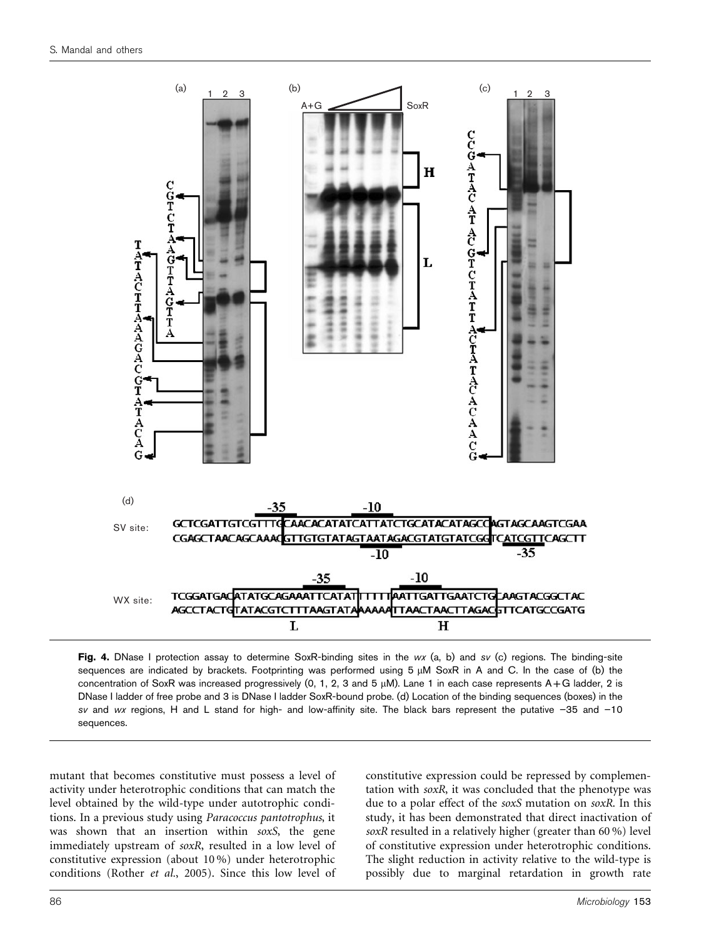

Fig. 4. DNase I protection assay to determine SoxR-binding sites in the  $wx$  (a, b) and sv (c) regions. The binding-site sequences are indicated by brackets. Footprinting was performed using 5 µM SoxR in A and C. In the case of (b) the concentration of SoxR was increased progressively  $(0, 1, 2, 3$  and  $5 \mu M)$ . Lane 1 in each case represents  $A + G$  ladder, 2 is DNase I ladder of free probe and 3 is DNase I ladder SoxR-bound probe. (d) Location of the binding sequences (boxes) in the sv and wx regions, H and L stand for high- and low-affinity site. The black bars represent the putative  $-35$  and  $-10$ sequences.

mutant that becomes constitutive must possess a level of activity under heterotrophic conditions that can match the level obtained by the wild-type under autotrophic conditions. In a previous study using *Paracoccus pantotrophus*, it was shown that an insertion within *soxS*, the gene immediately upstream of *soxR*, resulted in a low level of constitutive expression (about 10 %) under heterotrophic conditions (Rother *et al.*, 2005). Since this low level of

constitutive expression could be repressed by complementation with *soxR*, it was concluded that the phenotype was due to a polar effect of the *soxS* mutation on *soxR*. In this study, it has been demonstrated that direct inactivation of *soxR* resulted in a relatively higher (greater than 60 %) level of constitutive expression under heterotrophic conditions. The slight reduction in activity relative to the wild-type is possibly due to marginal retardation in growth rate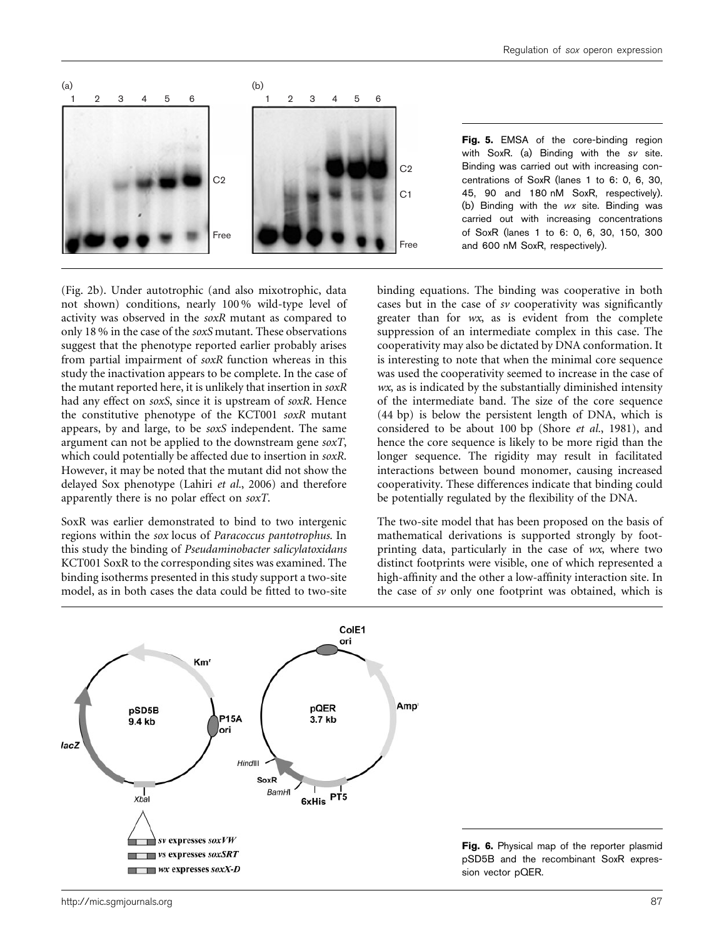

Fig. 5. EMSA of the core-binding region with SoxR. (a) Binding with the sv site. Binding was carried out with increasing concentrations of SoxR (lanes 1 to 6: 0, 6, 30, 45, 90 and 180 nM SoxR, respectively). (b) Binding with the wx site. Binding was carried out with increasing concentrations of SoxR (lanes 1 to 6: 0, 6, 30, 150, 300 and 600 nM SoxR, respectively).

(Fig. 2b). Under autotrophic (and also mixotrophic, data not shown) conditions, nearly 100 % wild-type level of activity was observed in the *soxR* mutant as compared to only 18 % in the case of the *soxS* mutant. These observations suggest that the phenotype reported earlier probably arises from partial impairment of *soxR* function whereas in this study the inactivation appears to be complete. In the case of the mutant reported here, it is unlikely that insertion in *soxR* had any effect on *soxS*, since it is upstream of *soxR*. Hence the constitutive phenotype of the KCT001 *soxR* mutant appears, by and large, to be *soxS* independent. The same argument can not be applied to the downstream gene *soxT*, which could potentially be affected due to insertion in *soxR*. However, it may be noted that the mutant did not show the delayed Sox phenotype (Lahiri *et al.*, 2006) and therefore apparently there is no polar effect on *soxT*.

SoxR was earlier demonstrated to bind to two intergenic regions within the *sox* locus of *Paracoccus pantotrophus*. In this study the binding of *Pseudaminobacter salicylatoxidans* KCT001 SoxR to the corresponding sites was examined. The binding isotherms presented in this study support a two-site model, as in both cases the data could be fitted to two-site

binding equations. The binding was cooperative in both cases but in the case of *sv* cooperativity was significantly greater than for *wx*, as is evident from the complete suppression of an intermediate complex in this case. The cooperativity may also be dictated by DNA conformation. It is interesting to note that when the minimal core sequence was used the cooperativity seemed to increase in the case of *wx*, as is indicated by the substantially diminished intensity of the intermediate band. The size of the core sequence (44 bp) is below the persistent length of DNA, which is considered to be about 100 bp (Shore *et al.*, 1981), and hence the core sequence is likely to be more rigid than the longer sequence. The rigidity may result in facilitated interactions between bound monomer, causing increased cooperativity. These differences indicate that binding could be potentially regulated by the flexibility of the DNA.

The two-site model that has been proposed on the basis of mathematical derivations is supported strongly by footprinting data, particularly in the case of *wx*, where two distinct footprints were visible, one of which represented a high-affinity and the other a low-affinity interaction site. In the case of *sv* only one footprint was obtained, which is



Fig. 6. Physical map of the reporter plasmid pSD5B and the recombinant SoxR expression vector pQER.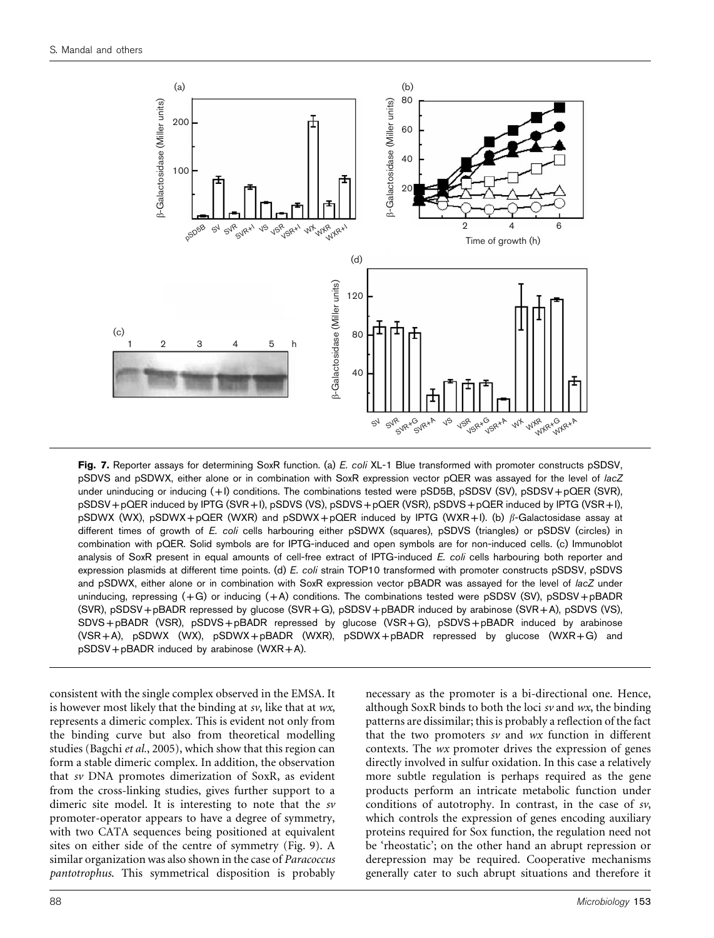

Fig. 7. Reporter assays for determining SoxR function. (a) E. coli XL-1 Blue transformed with promoter constructs pSDSV, pSDVS and pSDWX, either alone or in combination with SoxR expression vector pQER was assayed for the level of lacZ under uninducing or inducing (+1) conditions. The combinations tested were pSD5B, pSDSV (SV), pSDSV+pQER (SVR), pSDSV+pQER induced by IPTG (SVR+I), pSDVS (VS), pSDVS+pQER (VSR), pSDVS+pQER induced by IPTG (VSR+I), pSDWX (WX), pSDWX+pQER (WXR) and pSDWX+pQER induced by IPTG (WXR+I). (b)  $\beta$ -Galactosidase assay at different times of growth of E. coli cells harbouring either pSDWX (squares), pSDVS (triangles) or pSDSV (circles) in combination with pQER. Solid symbols are for IPTG-induced and open symbols are for non-induced cells. (c) Immunoblot analysis of SoxR present in equal amounts of cell-free extract of IPTG-induced E. coli cells harbouring both reporter and expression plasmids at different time points. (d) E. coli strain TOP10 transformed with promoter constructs pSDSV, pSDVS and pSDWX, either alone or in combination with SoxR expression vector pBADR was assayed for the level of lacZ under uninducing, repressing (+G) or inducing (+A) conditions. The combinations tested were pSDSV (SV), pSDSV+pBADR (SVR), pSDSV+pBADR repressed by glucose (SVR+G), pSDSV+pBADR induced by arabinose (SVR+A), pSDVS (VS), SDVS+pBADR (VSR), pSDVS+pBADR repressed by glucose (VSR+G), pSDVS+pBADR induced by arabinose (VSR+A), pSDWX (WX), pSDWX+pBADR (WXR), pSDWX+pBADR repressed by glucose (WXR+G) and pSDSV+pBADR induced by arabinose (WXR+A).

consistent with the single complex observed in the EMSA. It is however most likely that the binding at *sv*, like that at *wx*, represents a dimeric complex. This is evident not only from the binding curve but also from theoretical modelling studies (Bagchi *et al.*, 2005), which show that this region can form a stable dimeric complex. In addition, the observation that *sv* DNA promotes dimerization of SoxR, as evident from the cross-linking studies, gives further support to a dimeric site model. It is interesting to note that the *sv* promoter-operator appears to have a degree of symmetry, with two CATA sequences being positioned at equivalent sites on either side of the centre of symmetry (Fig. 9). A similar organization was also shown in the case of *Paracoccus pantotrophus*. This symmetrical disposition is probably

necessary as the promoter is a bi-directional one. Hence, although SoxR binds to both the loci *sv* and *wx*, the binding patterns are dissimilar; this is probably a reflection of the fact that the two promoters *sv* and *wx* function in different contexts. The *wx* promoter drives the expression of genes directly involved in sulfur oxidation. In this case a relatively more subtle regulation is perhaps required as the gene products perform an intricate metabolic function under conditions of autotrophy. In contrast, in the case of *sv*, which controls the expression of genes encoding auxiliary proteins required for Sox function, the regulation need not be 'rheostatic'; on the other hand an abrupt repression or derepression may be required. Cooperative mechanisms generally cater to such abrupt situations and therefore it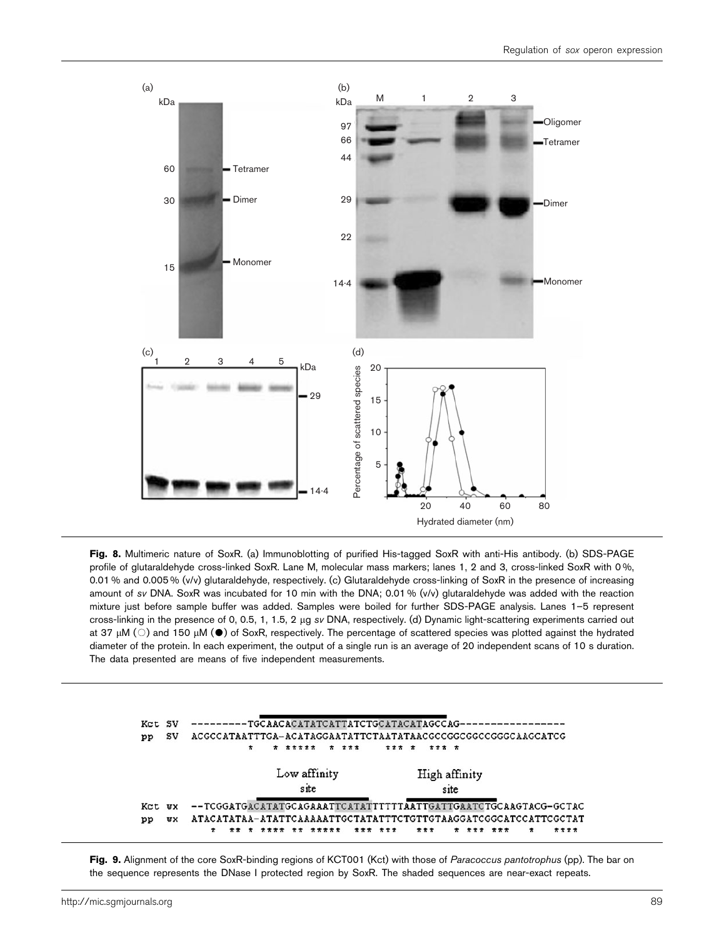

Fig. 8. Multimeric nature of SoxR. (a) Immunoblotting of purified His-tagged SoxR with anti-His antibody. (b) SDS-PAGE profile of glutaraldehyde cross-linked SoxR. Lane M, molecular mass markers; lanes 1, 2 and 3, cross-linked SoxR with 0%, 0.01 % and 0.005 % (v/v) glutaraldehyde, respectively. (c) Glutaraldehyde cross-linking of SoxR in the presence of increasing amount of sv DNA. SoxR was incubated for 10 min with the DNA; 0.01 % (v/v) glutaraldehyde was added with the reaction mixture just before sample buffer was added. Samples were boiled for further SDS-PAGE analysis. Lanes 1–5 represent cross-linking in the presence of 0, 0.5, 1, 1.5, 2 µg sv DNA, respectively. (d) Dynamic light-scattering experiments carried out at 37  $\mu$ M ( $\circ$ ) and 150  $\mu$ M ( $\bullet$ ) of SoxR, respectively. The percentage of scattered species was plotted against the hydrated diameter of the protein. In each experiment, the output of a single run is an average of 20 independent scans of 10 s duration. The data presented are means of five independent measurements.

| Kct SV |           |                                                                 |  |
|--------|-----------|-----------------------------------------------------------------|--|
| pp     | sv        | ACGCCATAATTTGA-ACATAGGAATATTCTAATATAACGCCGGCGGCCGGCCAAGCATCG    |  |
|        |           | ***<br>*** *<br>*****<br>$\pi$<br>*<br>*** *                    |  |
|        |           | Low affinity<br>High affinity                                   |  |
|        |           | site<br>site                                                    |  |
| Ket    | <b>UX</b> |                                                                 |  |
| pp     | wх        | ATACATATAA-ATATTCAAAAATTGCTATATTTCTGTTGTAAGGATCGGCATCCATTCGCTAT |  |
|        |           |                                                                 |  |

Fig. 9. Alignment of the core SoxR-binding regions of KCT001 (Kct) with those of Paracoccus pantotrophus (pp). The bar on the sequence represents the DNase I protected region by SoxR. The shaded sequences are near-exact repeats.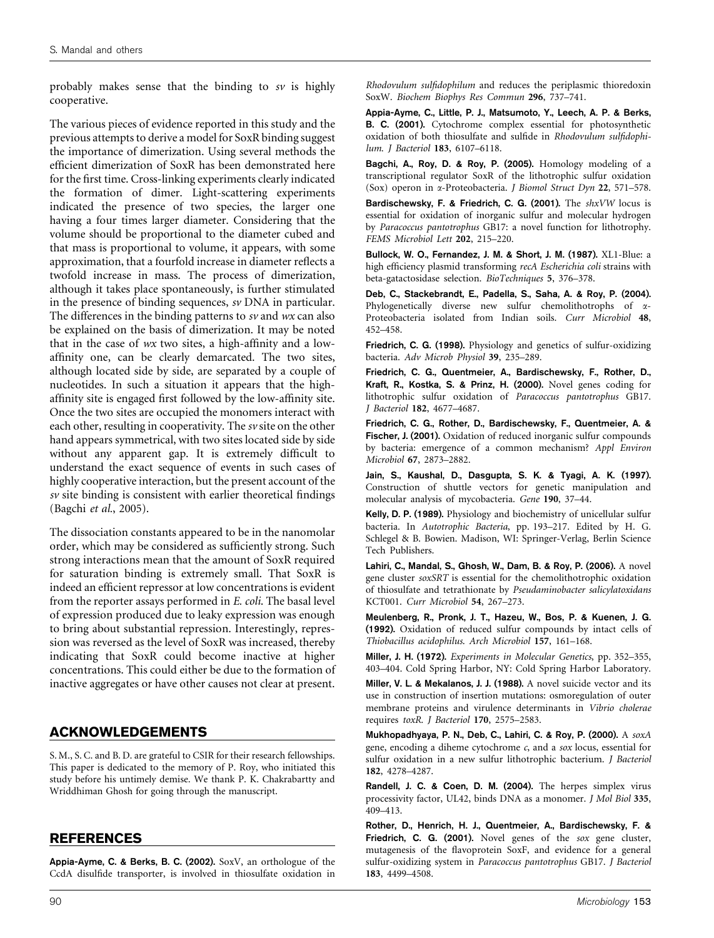probably makes sense that the binding to *sv* is highly cooperative.

The various pieces of evidence reported in this study and the previous attempts to derive a model for SoxR binding suggest the importance of dimerization. Using several methods the efficient dimerization of SoxR has been demonstrated here for the first time. Cross-linking experiments clearly indicated the formation of dimer. Light-scattering experiments indicated the presence of two species, the larger one having a four times larger diameter. Considering that the volume should be proportional to the diameter cubed and that mass is proportional to volume, it appears, with some approximation, that a fourfold increase in diameter reflects a twofold increase in mass. The process of dimerization, although it takes place spontaneously, is further stimulated in the presence of binding sequences, *sv* DNA in particular. The differences in the binding patterns to *sv* and *wx* can also be explained on the basis of dimerization. It may be noted that in the case of *wx* two sites, a high-affinity and a lowaffinity one, can be clearly demarcated. The two sites, although located side by side, are separated by a couple of nucleotides. In such a situation it appears that the highaffinity site is engaged first followed by the low-affinity site. Once the two sites are occupied the monomers interact with each other, resulting in cooperativity. The *sv* site on the other hand appears symmetrical, with two sites located side by side without any apparent gap. It is extremely difficult to understand the exact sequence of events in such cases of highly cooperative interaction, but the present account of the *sv* site binding is consistent with earlier theoretical findings (Bagchi *et al.*, 2005).

The dissociation constants appeared to be in the nanomolar order, which may be considered as sufficiently strong. Such strong interactions mean that the amount of SoxR required for saturation binding is extremely small. That SoxR is indeed an efficient repressor at low concentrations is evident from the reporter assays performed in *E. coli*. The basal level of expression produced due to leaky expression was enough to bring about substantial repression. Interestingly, repression was reversed as the level of SoxR was increased, thereby indicating that SoxR could become inactive at higher concentrations. This could either be due to the formation of inactive aggregates or have other causes not clear at present.

## ACKNOWLEDGEMENTS

S. M., S. C. and B. D. are grateful to CSIR for their research fellowships. This paper is dedicated to the memory of P. Roy, who initiated this study before his untimely demise. We thank P. K. Chakrabartty and Wriddhiman Ghosh for going through the manuscript.

### REFERENCES

Appia-Ayme, C. & Berks, B. C. (2002). SoxV, an orthologue of the CcdA disulfide transporter, is involved in thiosulfate oxidation in *Rhodovulum sulfidophilum* and reduces the periplasmic thioredoxin SoxW. *Biochem Biophys Res Commun* 296, 737–741.

Appia-Ayme, C., Little, P. J., Matsumoto, Y., Leech, A. P. & Berks, B. C. (2001). Cytochrome complex essential for photosynthetic oxidation of both thiosulfate and sulfide in *Rhodovulum sulfidophilum*. *J Bacteriol* 183, 6107–6118.

Bagchi, A., Roy, D. & Roy, P. (2005). Homology modeling of a transcriptional regulator SoxR of the lithotrophic sulfur oxidation (Sox) operon in a-Proteobacteria. *J Biomol Struct Dyn* 22, 571–578.

Bardischewsky, F. & Friedrich, C. G. (2001). The *shxVW* locus is essential for oxidation of inorganic sulfur and molecular hydrogen by *Paracoccus pantotrophus* GB17: a novel function for lithotrophy. *FEMS Microbiol Lett* 202, 215–220.

Bullock, W. O., Fernandez, J. M. & Short, J. M. (1987). XL1-Blue: a high efficiency plasmid transforming *recA Escherichia coli* strains with beta-gatactosidase selection. *BioTechniques* 5, 376–378.

Deb, C., Stackebrandt, E., Padella, S., Saha, A. & Roy, P. (2004). Phylogenetically diverse new sulfur chemolithotrophs of  $\alpha$ -Proteobacteria isolated from Indian soils. *Curr Microbiol* 48, 452–458.

Friedrich, C. G. (1998). Physiology and genetics of sulfur-oxidizing bacteria. *Adv Microb Physiol* 39, 235–289.

Friedrich, C. G., Quentmeier, A., Bardischewsky, F., Rother, D., Kraft, R., Kostka, S. & Prinz, H. (2000). Novel genes coding for lithotrophic sulfur oxidation of *Paracoccus pantotrophus* GB17. *J Bacteriol* 182, 4677–4687.

Friedrich, C. G., Rother, D., Bardischewsky, F., Quentmeier, A. & Fischer, J. (2001). Oxidation of reduced inorganic sulfur compounds by bacteria: emergence of a common mechanism? *Appl Environ Microbiol* 67, 2873–2882.

Jain, S., Kaushal, D., Dasgupta, S. K. & Tyagi, A. K. (1997). Construction of shuttle vectors for genetic manipulation and molecular analysis of mycobacteria. *Gene* 190, 37–44.

Kelly, D. P. (1989). Physiology and biochemistry of unicellular sulfur bacteria. In *Autotrophic Bacteria*, pp. 193–217. Edited by H. G. Schlegel & B. Bowien. Madison, WI: Springer-Verlag, Berlin Science Tech Publishers.

Lahiri, C., Mandal, S., Ghosh, W., Dam, B. & Roy, P. (2006). A novel gene cluster *soxSRT* is essential for the chemolithotrophic oxidation of thiosulfate and tetrathionate by *Pseudaminobacter salicylatoxidans* KCT001. *Curr Microbiol* 54, 267–273.

Meulenberg, R., Pronk, J. T., Hazeu, W., Bos, P. & Kuenen, J. G. (1992). Oxidation of reduced sulfur compounds by intact cells of *Thiobacillus acidophilus*. *Arch Microbiol* 157, 161–168.

Miller, J. H. (1972). *Experiments in Molecular Genetics*, pp. 352–355, 403–404. Cold Spring Harbor, NY: Cold Spring Harbor Laboratory.

Miller, V. L. & Mekalanos, J. J. (1988). A novel suicide vector and its use in construction of insertion mutations: osmoregulation of outer membrane proteins and virulence determinants in *Vibrio cholerae* requires *toxR*. *J Bacteriol* 170, 2575–2583.

Mukhopadhyaya, P. N., Deb, C., Lahiri, C. & Roy, P. (2000). A *soxA* gene, encoding a diheme cytochrome *c*, and a *sox* locus, essential for sulfur oxidation in a new sulfur lithotrophic bacterium. *J Bacteriol* 182, 4278–4287.

Randell, J. C. & Coen, D. M. (2004). The herpes simplex virus processivity factor, UL42, binds DNA as a monomer. *J Mol Biol* 335, 409–413.

Rother, D., Henrich, H. J., Quentmeier, A., Bardischewsky, F. & Friedrich, C. G. (2001). Novel genes of the *sox* gene cluster, mutagenesis of the flavoprotein SoxF, and evidence for a general sulfur-oxidizing system in *Paracoccus pantotrophus* GB17. *J Bacteriol* 183, 4499–4508.